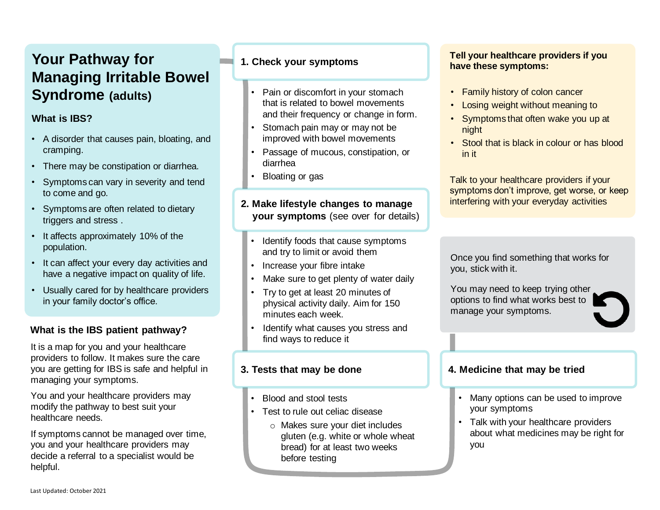# **Your Pathway for Managing Irritable Bowel Syndrome (adults)**

## **What is IBS?**

- A disorder that causes pain, bloating, and cramping.
- There may be constipation or diarrhea.
- Symptoms can vary in severity and tend to come and go.
- Symptoms are often related to dietary triggers and stress .
- It affects approximately 10% of the population.
- It can affect your every day activities and have a negative impact on quality of life.
- Usually cared for by healthcare providers in your family doctor's office.

## **What is the IBS patient pathway?**

It is a map for you and your healthcare providers to follow. It makes sure the care you are getting for IBS is safe and helpful in managing your symptoms.

You and your healthcare providers may modify the pathway to best suit your healthcare needs.

If symptoms cannot be managed over time, you and your healthcare providers may decide a referral to a specialist would be helpful.

#### **1. Check your symptoms**

- Pain or discomfort in your stomach that is related to bowel movements and their frequency or change in form.
- Stomach pain may or may not be improved with bowel movements
- Passage of mucous, constipation, or diarrhea
- Bloating or gas

#### **2. Make lifestyle changes to manage your symptoms** (see over for details)

- Identify foods that cause symptoms and try to limit or avoid them
- Increase your fibre intake
- Make sure to get plenty of water daily
- Try to get at least 20 minutes of physical activity daily. Aim for 150 minutes each week.
- Identify what causes you stress and find ways to reduce it

#### **3. Tests that may be done**

- Blood and stool tests
- Test to rule out celiac disease
	- o Makes sure your diet includes gluten (e.g. white or whole wheat bread) for at least two weeks before testing

#### **Tell your healthcare providers if you have these symptoms:**

- Family history of colon cancer
- Losing weight without meaning to
- Symptoms that often wake you up at night
- Stool that is black in colour or has blood in it

Talk to your healthcare providers if your symptoms don't improve, get worse, or keep interfering with your everyday activities

Once you find something that works for you, stick with it.

You may need to keep trying other options to find what works best to manage your symptoms.

#### **4. Medicine that may be tried**

п

- Many options can be used to improve your symptoms
- Talk with your healthcare providers about what medicines may be right for you